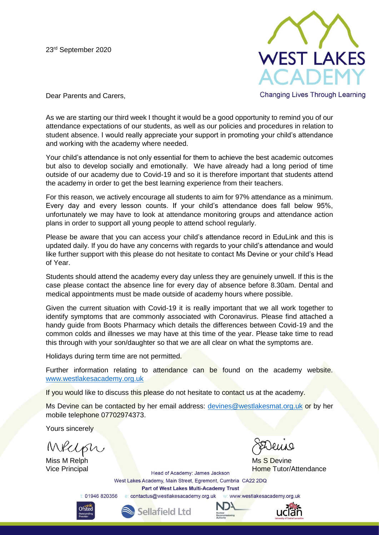23 rd September 2020



**Changing Lives Through Learning** 

Dear Parents and Carers,

As we are starting our third week I thought it would be a good opportunity to remind you of our attendance expectations of our students, as well as our policies and procedures in relation to student absence. I would really appreciate your support in promoting your child's attendance and working with the academy where needed.

Your child's attendance is not only essential for them to achieve the best academic outcomes but also to develop socially and emotionally. We have already had a long period of time outside of our academy due to Covid-19 and so it is therefore important that students attend the academy in order to get the best learning experience from their teachers.

For this reason, we actively encourage all students to aim for 97% attendance as a minimum. Every day and every lesson counts. If your child's attendance does fall below 95%, unfortunately we may have to look at attendance monitoring groups and attendance action plans in order to support all young people to attend school regularly.

Please be aware that you can access your child's attendance record in EduLink and this is updated daily. If you do have any concerns with regards to your child's attendance and would like further support with this please do not hesitate to contact Ms Devine or your child's Head of Year.

Students should attend the academy every day unless they are genuinely unwell. If this is the case please contact the absence line for every day of absence before 8.30am. Dental and medical appointments must be made outside of academy hours where possible.

Given the current situation with Covid-19 it is really important that we all work together to identify symptoms that are commonly associated with Coronavirus. Please find attached a handy guide from Boots Pharmacy which details the differences between Covid-19 and the common colds and illnesses we may have at this time of the year. Please take time to read this through with your son/daughter so that we are all clear on what the symptoms are.

Holidays during term time are not permitted.

Further information relating to attendance can be found on the academy website. [www.westlakesacademy.org.uk](http://www.westlakesacademy.org.uk/)

If you would like to discuss this please do not hesitate to contact us at the academy.

Ms Devine can be contacted by her email address: [devines@westlakesmat.org.uk](mailto:devines@westlakesmat.org.uk) or by her mobile telephone 07702974373.

Yours sincerely

Melph

Miss M Relph Ms S Devine

Vice Principal **Home Tutor/Attendance** Head of Academy: James Jackson **Home Tutor/Attendance** 

West Lakes Academy, Main Street, Egremont, Cumbria CA22 2DQ Part of West Lakes Multi-Academy Trust

t: 01946 820356 e: contactus@westlakesacademy.org.uk www.westlakesacademy.org.uk